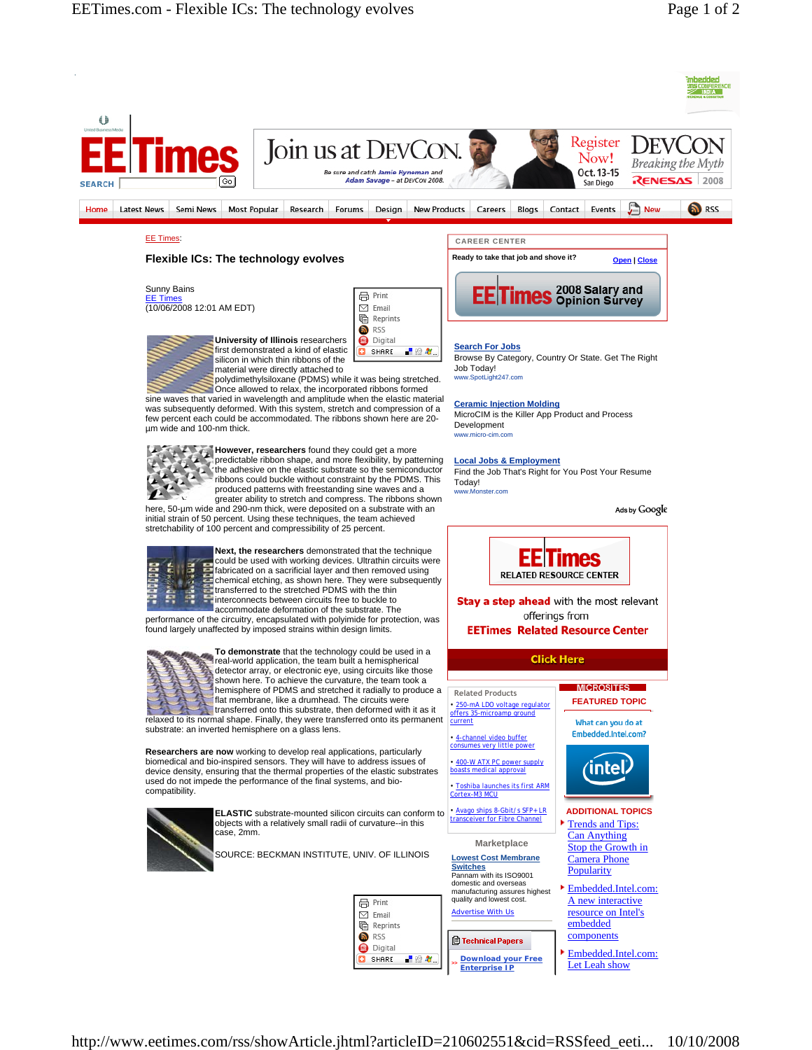